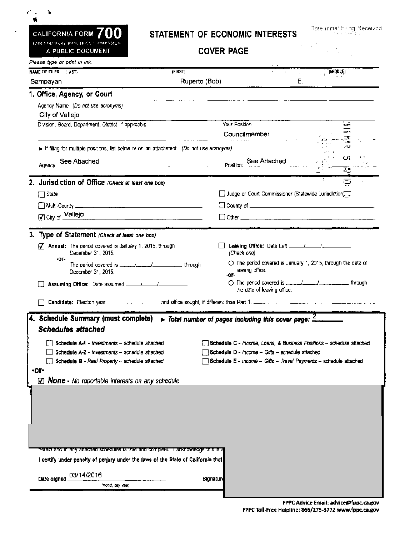| e de la c<br>4                      |
|-------------------------------------|
| CALIFORNIA FORM $700$               |
| FAIR POLITICAL PRACTICES COMMISSION |
| A PUBLIC DOCUMENT                   |

## STATEMENT OF ECONOMIC INTERESTS<br>COVER PAGE

Date Initial Filing Received c "'-,C' is  $\mathbb{S}^3$  in

COVER PAGE

| Please type or print in ink.                                                                                           |               |                                                                                                           |          |                         |  |
|------------------------------------------------------------------------------------------------------------------------|---------------|-----------------------------------------------------------------------------------------------------------|----------|-------------------------|--|
| NAME OF FILER (LAST)                                                                                                   | (FIRST)       | <b>Contractor</b>                                                                                         | (MIDDLE) |                         |  |
| Sampayan                                                                                                               | Ruperto (Bob) |                                                                                                           | Е.       |                         |  |
| 1. Office, Agency, or Court                                                                                            |               |                                                                                                           |          |                         |  |
| Agency Name (Do not use acronyms)<br>City of Vallejo                                                                   |               |                                                                                                           |          |                         |  |
| Division, Board, Department, District, if applicable                                                                   |               | Your Position                                                                                             |          | Ξ                       |  |
|                                                                                                                        |               | Councilmember                                                                                             |          | $\sigma$<br>喜           |  |
| If filing for multiple positions, list below or on an attachment. (Do not use acronyms)                                |               |                                                                                                           |          |                         |  |
| Agency: See Attached                                                                                                   |               | Position: See Attached                                                                                    |          | cn<br>1 R .             |  |
|                                                                                                                        |               |                                                                                                           |          | $\overline{\mathbf{z}}$ |  |
| 2. Jurisdiction of Office (Check at least one box)                                                                     |               |                                                                                                           |          | ව                       |  |
| $\Box$ State                                                                                                           |               | Judge or Court Commissioner (Statewide Jurisdiction)                                                      |          |                         |  |
|                                                                                                                        |               |                                                                                                           |          |                         |  |
| City of Vallejo                                                                                                        |               |                                                                                                           |          |                         |  |
|                                                                                                                        |               |                                                                                                           |          |                         |  |
| 3. Type of Statement (Check at least one box)                                                                          |               |                                                                                                           |          |                         |  |
| 7 Annual: The period covered is January 1, 2015, through<br>December 31, 2015.<br>-or-                                 |               | (Check one)                                                                                               |          |                         |  |
| December 31, 2015.                                                                                                     |               | $\circlearrowright$ The period covered is January 1, 2015, through the date of<br>leaving office.<br>-or- |          |                         |  |
|                                                                                                                        |               | ◯ The period covered is _____/_____/________________ through<br>the date of leaving office.               |          |                         |  |
|                                                                                                                        |               |                                                                                                           |          |                         |  |
|                                                                                                                        |               |                                                                                                           |          |                         |  |
| 4. Schedule Summary (must complete)<br><b>Schedules attached</b>                                                       |               | $\triangleright$ Total number of pages including this cover page: $2$                                     |          |                         |  |
| Schedule A-1 - investments - schedule attached<br>Schedule C - Income, Loans, & Business Positions - schedule attached |               |                                                                                                           |          |                         |  |
| Schedule D - $lncom$ e - Gifts - schedule attached<br>Schedule A-2 - Investments - schedule attached                   |               |                                                                                                           |          |                         |  |
| Schedule B - Real Property -- schedule attached                                                                        |               | Schedule E - income - Gifts - Travel Payments - schedule attached                                         |          |                         |  |
| -01-<br><b>None</b> - No reportable interests on any schedule<br>Ø                                                     |               |                                                                                                           |          |                         |  |
|                                                                                                                        |               |                                                                                                           |          |                         |  |
|                                                                                                                        |               |                                                                                                           |          |                         |  |
|                                                                                                                        |               |                                                                                                           |          |                         |  |
|                                                                                                                        |               |                                                                                                           |          |                         |  |
|                                                                                                                        |               |                                                                                                           |          |                         |  |
|                                                                                                                        |               |                                                                                                           |          |                         |  |
| nerein and in any attached schedules is true and complete. I acknowledge this is a                                     |               |                                                                                                           |          |                         |  |
| I certify under penalty of perjury under the laws of the State of California that                                      |               |                                                                                                           |          |                         |  |
| 03/14/2016<br>Date Signed                                                                                              | Signature     |                                                                                                           |          |                         |  |
| (month, day, year)                                                                                                     |               |                                                                                                           |          |                         |  |
|                                                                                                                        |               |                                                                                                           |          |                         |  |